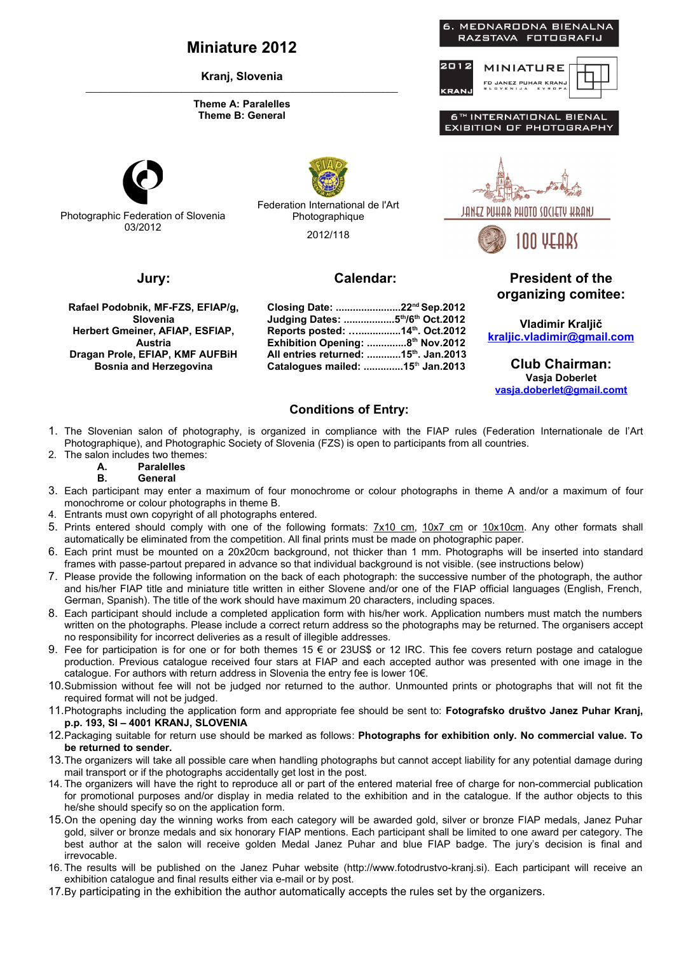### **Miniature 2012**

**Kranj, Slovenia** \_\_\_\_\_\_\_\_\_\_\_\_\_\_\_\_\_\_\_\_\_\_\_\_\_\_\_\_\_\_\_\_\_\_\_\_\_\_\_\_\_\_\_\_\_\_\_\_\_\_\_\_\_\_\_\_\_\_\_\_\_\_

#### **Theme A: Paralelles Theme B: General**



Photographic Federation of Slovenia 03/2012

Federation International de l'Art Photographique 2012/118

### **Jury:**

**Rafael Podobnik, MF-FZS, EFIAP/g, Slovenia Herbert Gmeiner, AFIAP, ESFIAP, Austria Dragan Prole, EFIAP, KMF AUFBiH Bosnia and Herzegovina**

**Calendar:**

**Closing Date: .......................22nd Sep.2012 Judging Dates: ..................5th/6th Oct.2012 Reports posted: …...............14th. Oct.2012 Exhibition Opening: ..............8th Nov.2012 All entries returned: ............15th. Jan.2013 Catalogues mailed: ..............15**th **Jan.2013**



**President of the organizing comitee:**

**Vladimir Kraljič  [kraljic .vladimir@gmail.com](mailto:vladimir.kraljic@gmail.com)**

**Club Chairman: Vasja Doberlet [vasja.doberlet@gmail.comt](mailto:vasja.doberlet@gmail.comt)**

### **Conditions of Entry:**

- 1. The Slovenian salon of photography, is organized in compliance with the FIAP rules (Federation Internationale de l'Art Photographique), and Photographic Society of Slovenia (FZS) is open to participants from all countries.
- 2. The salon includes two themes:

## **A. Paralelles**

### **B. General**

- 3. Each participant may enter a maximum of four monochrome or colour photographs in theme A and/or a maximum of four monochrome or colour photographs in theme B.
- 4. Entrants must own copyright of all photographs entered.
- 5. Prints entered should comply with one of the following formats: 7x10 cm, 10x7 cm or 10x10cm. Any other formats shall automatically be eliminated from the competition. All final prints must be made on photographic paper.
- 6. Each print must be mounted on a 20x20cm background, not thicker than 1 mm. Photographs will be inserted into standard frames with passe-partout prepared in advance so that individual background is not visible. (see instructions below)
- 7. Please provide the following information on the back of each photograph: the successive number of the photograph, the author and his/her FIAP title and miniature title written in either Slovene and/or one of the FIAP official languages (English, French, German, Spanish). The title of the work should have maximum 20 characters, including spaces.
- 8. Each participant should include a completed application form with his/her work. Application numbers must match the numbers written on the photographs. Please include a correct return address so the photographs may be returned. The organisers accept no responsibility for incorrect deliveries as a result of illegible addresses.
- 9. Fee for participation is for one or for both themes 15 € or 23US\$ or 12 IRC. This fee covers return postage and catalogue production. Previous catalogue received four stars at FIAP and each accepted author was presented with one image in the catalogue. For authors with return address in Slovenia the entry fee is lower 10€.
- 10.Submission without fee will not be judged nor returned to the author. Unmounted prints or photographs that will not fit the required format will not be judged.
- 11.Photographs including the application form and appropriate fee should be sent to: **Fotografsko društvo Janez Puhar Kranj, p.p. 193, SI – 4001 KRANJ, SLOVENIA**
- 12.Packaging suitable for return use should be marked as follows: **Photographs for exhibition only. No commercial value. To be returned to sender.**
- 13.The organizers will take all possible care when handling photographs but cannot accept liability for any potential damage during mail transport or if the photographs accidentally get lost in the post.
- 14. The organizers will have the right to reproduce all or part of the entered material free of charge for non-commercial publication for promotional purposes and/or display in media related to the exhibition and in the catalogue. If the author objects to this he/she should specify so on the application form.
- 15.On the opening day the winning works from each category will be awarded gold, silver or bronze FIAP medals, Janez Puhar gold, silver or bronze medals and six honorary FIAP mentions. Each participant shall be limited to one award per category. The best author at the salon will receive golden Medal Janez Puhar and blue FIAP badge. The jury's decision is final and irrevocable.
- 16. The results will be published on the Janez Puhar website (http://www.fotodrustvo-kranj.si). Each participant will receive an exhibition catalogue and final results either via e-mail or by post.
- 17.By participating in the exhibition the author automatically accepts the rules set by the organizers.

# **MINIATURE**



6<sup>TH</sup> INTERNATIONAL BIENA<mark>I</mark> **EXIBITION OF PHOTOGRAPHY** 

MEDNARODNA BIENALNA RAZSTAVA FOTOGRAFIJ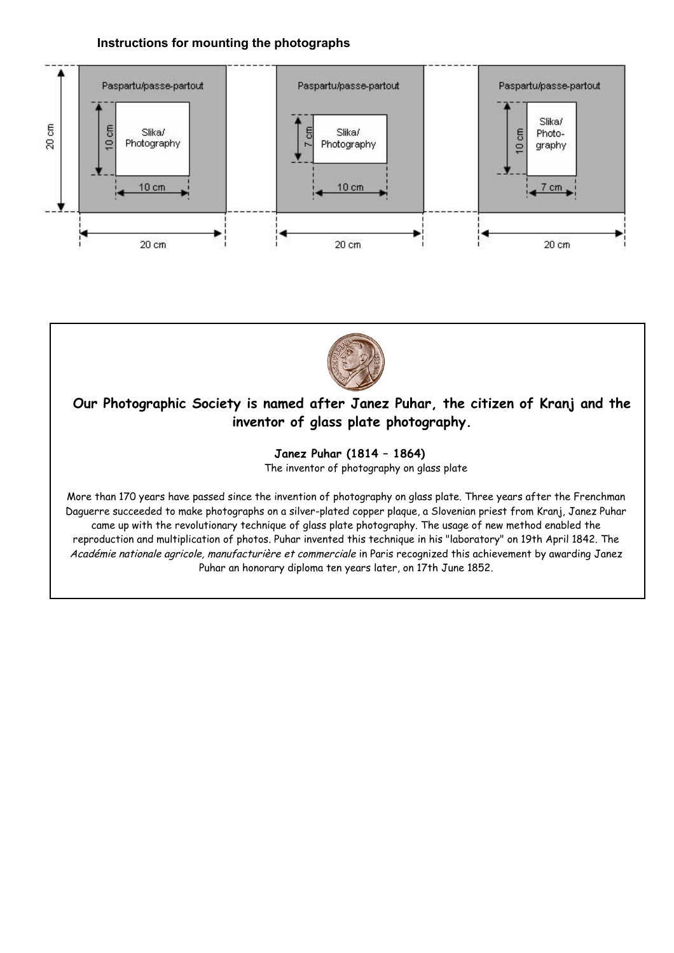### **Instructions for mounting the photographs**





## **Our Photographic Society is named after Janez Puhar, the citizen of Kranj and the inventor of glass plate photography.**

**Janez Puhar (1814 – 1864)** 

The inventor of photography on glass plate

More than 170 years have passed since the invention of photography on glass plate. Three years after the Frenchman Daguerre succeeded to make photographs on a silver-plated copper plaque, a Slovenian priest from Kranj, Janez Puhar came up with the revolutionary technique of glass plate photography. The usage of new method enabled the reproduction and multiplication of photos. Puhar invented this technique in his "laboratory" on 19th April 1842. The Académie nationale agricole, manufacturière et commerciale in Paris recognized this achievement by awarding Janez Puhar an honorary diploma ten years later, on 17th June 1852.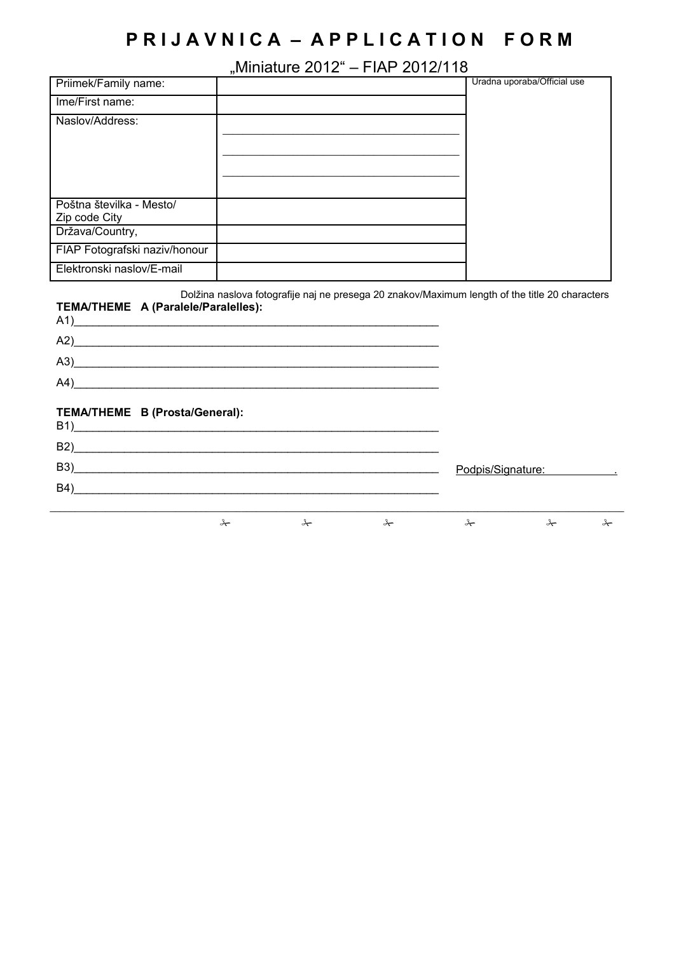# **P R I J A V N I C A – A P P L I C A T I O N F O R M**

## "Miniature 2012" – FIAP 2012/118

|                                  | ,, |                             |
|----------------------------------|----|-----------------------------|
| Priimek/Family name:             |    | Uradna uporaba/Official use |
| Ime/First name:                  |    |                             |
| Naslov/Address:                  |    |                             |
|                                  |    |                             |
|                                  |    |                             |
|                                  |    |                             |
|                                  |    |                             |
| Poštna številka - Mesto/         |    |                             |
| Zip code City<br>Država/Country, |    |                             |
| FIAP Fotografski naziv/honour    |    |                             |
|                                  |    |                             |
| Elektronski naslov/E-mail        |    |                             |

| TEMA/THEME A (Paralele/Paralelles):<br>$A1$ ) |               | Dolžina naslova fotografije naj ne presega 20 znakov/Maximum length of the title 20 characters |               |                   |   |
|-----------------------------------------------|---------------|------------------------------------------------------------------------------------------------|---------------|-------------------|---|
| $\mathsf{A2}\underline{\hspace{1cm}}$         |               |                                                                                                |               |                   |   |
| (A3)                                          |               |                                                                                                |               |                   |   |
| $A4$ )                                        |               |                                                                                                |               |                   |   |
| TEMA/THEME B (Prosta/General):<br>$B1$ )      |               |                                                                                                |               |                   |   |
|                                               |               |                                                                                                |               |                   |   |
|                                               |               |                                                                                                |               | Podpis/Signature: |   |
|                                               |               |                                                                                                |               |                   |   |
| ⊁                                             | $\rightarrow$ | $\star$                                                                                        | $\rightarrow$ | $\rightarrow$     | ⊁ |